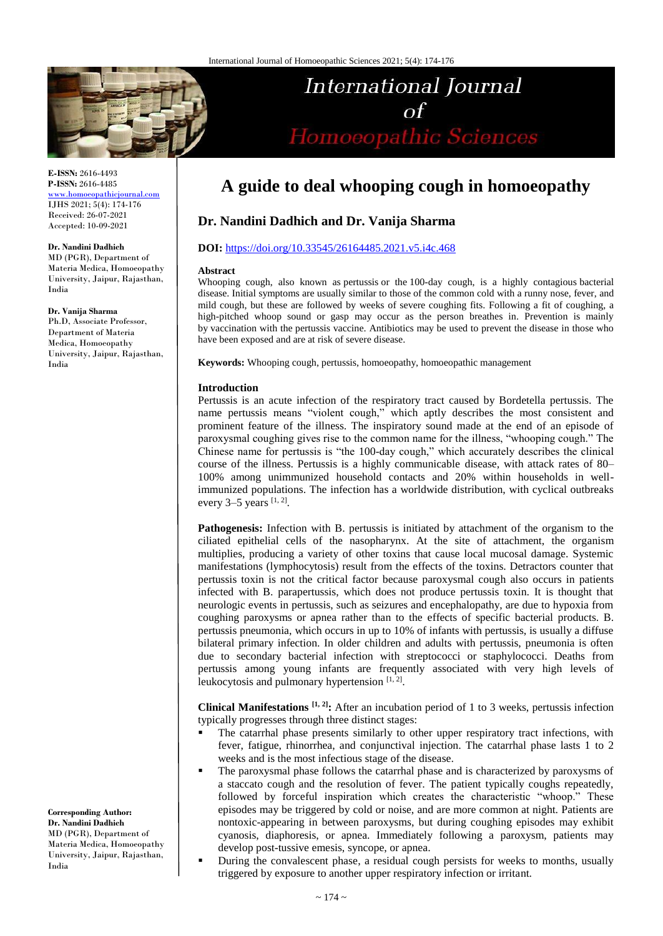

**E-ISSN:** 2616-4493 **P-ISSN:** 2616-4485

[www.homoeopathicjournal.com](file://Server/test/homoeopathicjournal/issue/vol%204/issue%201/www.homoeopathicjournal.com) IJHS 2021; 5(4): 174-176 Received: 26-07-2021 Accepted: 10-09-2021

#### **Dr. Nandini Dadhich**

MD (PGR), Department of Materia Medica, Homoeopathy University, Jaipur, Rajasthan, India

**Dr. Vanija Sharma**

Ph.D, Associate Professor, Department of Materia Medica, Homoeopathy University, Jaipur, Rajasthan, India

**Corresponding Author: Dr. Nandini Dadhich** MD (PGR), Department of Materia Medica, Homoeopathy University, Jaipur, Rajasthan, India

# **A guide to deal whooping cough in homoeopathy**

**International Journal** 

Homoeopathic Sciences

# **Dr. Nandini Dadhich and Dr. Vanija Sharma**

### **DOI:** <https://doi.org/10.33545/26164485.2021.v5.i4c.468>

#### **Abstract**

Whooping cough, also known as pertussis or the 100-day cough, is a highly contagious bacterial disease. Initial symptoms are usually similar to those of the common cold with a runny nose, fever, and mild cough, but these are followed by weeks of severe coughing fits. Following a fit of coughing, a high-pitched whoop sound or gasp may occur as the person breathes in. Prevention is mainly by vaccination with the pertussis vaccine. Antibiotics may be used to prevent the disease in those who have been exposed and are at risk of severe disease.

**Keywords:** Whooping cough, pertussis, homoeopathy, homoeopathic management

### **Introduction**

Pertussis is an acute infection of the respiratory tract caused by Bordetella pertussis. The name pertussis means "violent cough," which aptly describes the most consistent and prominent feature of the illness. The inspiratory sound made at the end of an episode of paroxysmal coughing gives rise to the common name for the illness, "whooping cough." The Chinese name for pertussis is "the 100-day cough," which accurately describes the clinical course of the illness. Pertussis is a highly communicable disease, with attack rates of 80– 100% among unimmunized household contacts and 20% within households in wellimmunized populations. The infection has a worldwide distribution, with cyclical outbreaks every 3–5 years  $[1, 2]$ .

**Pathogenesis:** Infection with B. pertussis is initiated by attachment of the organism to the ciliated epithelial cells of the nasopharynx. At the site of attachment, the organism multiplies, producing a variety of other toxins that cause local mucosal damage. Systemic manifestations (lymphocytosis) result from the effects of the toxins. Detractors counter that pertussis toxin is not the critical factor because paroxysmal cough also occurs in patients infected with B. parapertussis, which does not produce pertussis toxin. It is thought that neurologic events in pertussis, such as seizures and encephalopathy, are due to hypoxia from coughing paroxysms or apnea rather than to the effects of specific bacterial products. B. pertussis pneumonia, which occurs in up to 10% of infants with pertussis, is usually a diffuse bilateral primary infection. In older children and adults with pertussis, pneumonia is often due to secondary bacterial infection with streptococci or staphylococci. Deaths from pertussis among young infants are frequently associated with very high levels of leukocytosis and pulmonary hypertension  $[1, 2]$ .

**Clinical Manifestations [1, 2]:** After an incubation period of 1 to 3 weeks, pertussis infection typically progresses through three distinct stages:

- The catarrhal phase presents similarly to other upper respiratory tract infections, with fever, fatigue, rhinorrhea, and conjunctival injection. The catarrhal phase lasts 1 to 2 weeks and is the most infectious stage of the disease.
- The paroxysmal phase follows the catarrhal phase and is characterized by paroxysms of a staccato cough and the resolution of fever. The patient typically coughs repeatedly, followed by forceful inspiration which creates the characteristic "whoop." These episodes may be triggered by cold or noise, and are more common at night. Patients are nontoxic-appearing in between paroxysms, but during coughing episodes may exhibit cyanosis, diaphoresis, or apnea. Immediately following a paroxysm, patients may develop post-tussive emesis, syncope, or apnea.
- During the convalescent phase, a residual cough persists for weeks to months, usually triggered by exposure to another upper respiratory infection or irritant.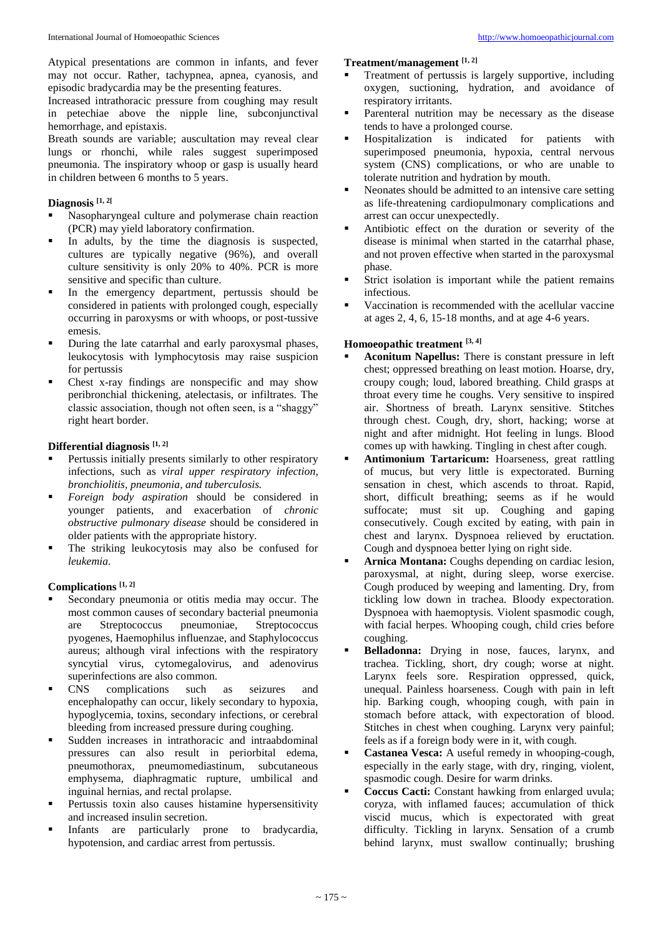Atypical presentations are common in infants, and fever may not occur. Rather, tachypnea, apnea, cyanosis, and episodic bradycardia may be the presenting features.

Increased intrathoracic pressure from coughing may result in petechiae above the nipple line, subconjunctival hemorrhage, and epistaxis.

Breath sounds are variable; auscultation may reveal clear lungs or rhonchi, while rales suggest superimposed pneumonia. The inspiratory whoop or gasp is usually heard in children between 6 months to 5 years.

# **Diagnosis [1, 2[**

- Nasopharyngeal culture and polymerase chain reaction (PCR) may yield laboratory confirmation.
- In adults, by the time the diagnosis is suspected, cultures are typically negative (96%), and overall culture sensitivity is only 20% to 40%. PCR is more sensitive and specific than culture.
- In the emergency department, pertussis should be considered in patients with prolonged cough, especially occurring in paroxysms or with whoops, or post-tussive emesis.
- During the late catarrhal and early paroxysmal phases, leukocytosis with lymphocytosis may raise suspicion for pertussis
- Chest x-ray findings are nonspecific and may show peribronchial thickening, atelectasis, or infiltrates. The classic association, though not often seen, is a "shaggy" right heart border.

# **Differential diagnosis [1, 2]**

- Pertussis initially presents similarly to other respiratory infections, such as *viral upper respiratory infection, bronchiolitis, pneumonia, and tuberculosis.*
- *Foreign body aspiration* should be considered in younger patients, and exacerbation of *chronic obstructive pulmonary disease* should be considered in older patients with the appropriate history.
- The striking leukocytosis may also be confused for *leukemia.*

## **Complications [1, 2]**

- Secondary pneumonia or otitis media may occur. The most common causes of secondary bacterial pneumonia are Streptococcus pneumoniae, Streptococcus pyogenes, Haemophilus influenzae, and Staphylococcus aureus; although viral infections with the respiratory syncytial virus, cytomegalovirus, and adenovirus superinfections are also common.
- CNS complications such as seizures and encephalopathy can occur, likely secondary to hypoxia, hypoglycemia, toxins, secondary infections, or cerebral bleeding from increased pressure during coughing.
- Sudden increases in intrathoracic and intraabdominal pressures can also result in periorbital edema, pneumothorax, pneumomediastinum, subcutaneous emphysema, diaphragmatic rupture, umbilical and inguinal hernias, and rectal prolapse.
- Pertussis toxin also causes histamine hypersensitivity and increased insulin secretion.
- Infants are particularly prone to bradycardia, hypotension, and cardiac arrest from pertussis.

## **Treatment/management [1, 2]**

- Treatment of pertussis is largely supportive, including oxygen, suctioning, hydration, and avoidance of respiratory irritants.
- Parenteral nutrition may be necessary as the disease tends to have a prolonged course.
- Hospitalization is indicated for patients with superimposed pneumonia, hypoxia, central nervous system (CNS) complications, or who are unable to tolerate nutrition and hydration by mouth.
- Neonates should be admitted to an intensive care setting as life-threatening cardiopulmonary complications and arrest can occur unexpectedly.
- Antibiotic effect on the duration or severity of the disease is minimal when started in the catarrhal phase, and not proven effective when started in the paroxysmal phase.
- Strict isolation is important while the patient remains infectious.
- Vaccination is recommended with the acellular vaccine at ages 2, 4, 6, 15-18 months, and at age 4-6 years.

## **Homoeopathic treatment [3, 4]**

- **Aconitum Napellus:** There is constant pressure in left chest; oppressed breathing on least motion. Hoarse, dry, croupy cough; loud, labored breathing. Child grasps at throat every time he coughs. Very sensitive to inspired air. Shortness of breath. Larynx sensitive. Stitches through chest. Cough, dry, short, hacking; worse at night and after midnight. Hot feeling in lungs. Blood comes up with hawking. Tingling in chest after cough.
- **Antimonium Tartaricum:** Hoarseness, great rattling of mucus, but very little is expectorated. Burning sensation in chest, which ascends to throat. Rapid, short, difficult breathing; seems as if he would suffocate; must sit up. Coughing and gaping consecutively. Cough excited by eating, with pain in chest and larynx. Dyspnoea relieved by eructation. Cough and dyspnoea better lying on right side.
- **Arnica Montana:** Coughs depending on cardiac lesion, paroxysmal, at night, during sleep, worse exercise. Cough produced by weeping and lamenting. Dry, from tickling low down in trachea. Bloody expectoration. Dyspnoea with haemoptysis. Violent spasmodic cough, with facial herpes. Whooping cough, child cries before coughing.
- **Belladonna:** Drying in nose, fauces, larynx, and trachea. Tickling, short, dry cough; worse at night. Larynx feels sore. Respiration oppressed, quick, unequal. Painless hoarseness. Cough with pain in left hip. Barking cough, whooping cough, with pain in stomach before attack, with expectoration of blood. Stitches in chest when coughing. Larynx very painful; feels as if a foreign body were in it, with cough.
- **Castanea Vesca:** A useful remedy in whooping-cough, especially in the early stage, with dry, ringing, violent, spasmodic cough. Desire for warm drinks.
- **Coccus Cacti:** Constant hawking from enlarged uvula; coryza, with inflamed fauces; accumulation of thick viscid mucus, which is expectorated with great difficulty. Tickling in larynx. Sensation of a crumb behind larynx, must swallow continually; brushing